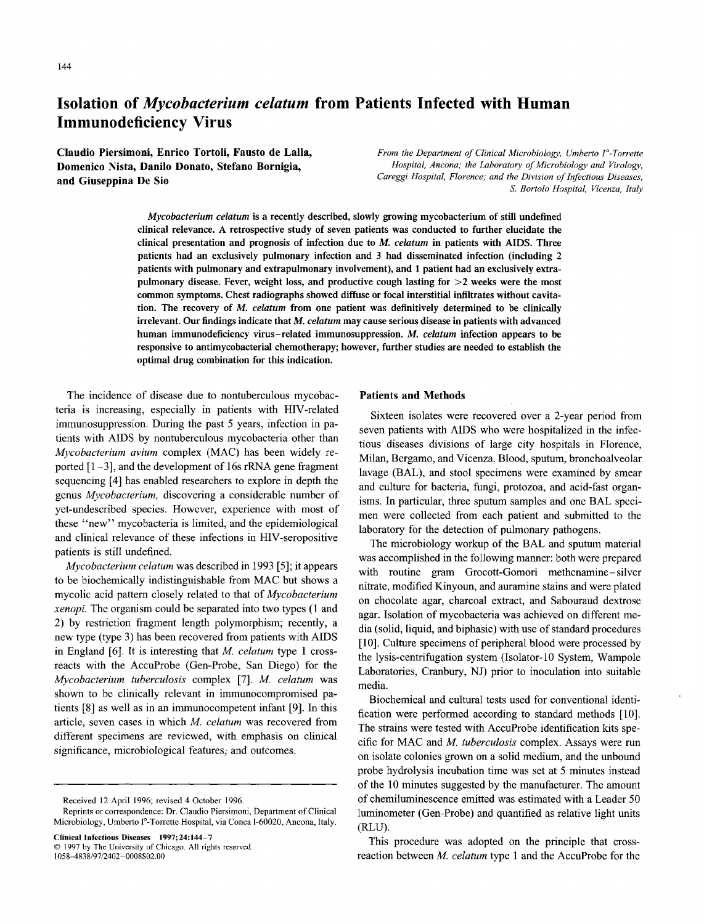# **Isolation of** *Mycobacterium celatum* **from Patients Infected with Human Immunodeficiency Virus**

**Claudio Piersimoni, Enrico Tortoli, Fausto de Lalla, Domenico Nista, Danilo Donato, Stefano Bornigia, and Giuseppina De Sio**

*From the Department of Clinical Microbiology, Umberto I°-Torrette Hospital, Ancona; the Laboratory of Microbiology and Virology, Careggi Hospital, Florence; and the Division of Infectious Diseases, S. Bortolo Hospital, Vicenza, Italy*

*Mycobacterium celatum is* **a recently described, slowly growing mycobacterium of still undefined clinical relevance. A retrospective study of seven patients was conducted to further elucidate the clinical presentation and prognosis of infection due to** *M. celatum* **in patients with AIDS. Three patients had an exclusively pulmonary infection and 3 had disseminated infection (including 2 patients with pulmonary and extrapulmonary involvement), and 1 patient had an exclusively extrapulmonary disease. Fever, weight loss, and productive cough lasting for >2 weeks were the most common symptoms. Chest radiographs showed diffuse or focal interstitial infiltrates without cavitation. The recovery of** *M. celatum* **from one patient was definitively determined to be clinically irrelevant. Our findings indicate that** *M. celatum* **may cause serious disease in patients with advanced human immunodeficiency virus — related immunosuppression.** *M. celatum* **infection appears to be responsive to antimycobacterial chemotherapy; however, further studies are needed to establish the optimal drug combination for this indication.**

The incidence of disease due to nontuberculous mycobacteria is increasing, especially in patients with HIV-related immunosuppression. During the past 5 years, infection in patients with AIDS by nontuberculous mycobacteria other than *Mycobacterium avium* complex (MAC) has been widely reported  $[1-3]$ , and the development of 16s rRNA gene fragment sequencing [4] has enabled researchers to explore in depth the genus *Mycobacterium,* discovering a considerable number of yet-undescribed species. However, experience with most of these "new" mycobacteria is limited, and the epidemiological and clinical relevance of these infections in HIV-seropositive patients is still undefined.

*Mycobacterium celatum* was described in 1993 [5]; it appears to be biochemically indistinguishable from MAC but shows a mycolic acid pattern closely related to that of *Mycobacterium xenopi.* The organism could be separated into two types (1 and 2) by restriction fragment length polymorphism; recently, a new type (type 3) has been recovered from patients with AIDS in England [6]. It is interesting that *M. celatum* type 1 crossreacts with the AccuProbe (Gen-Probe, San Diego) for the *Mycobacterium tuberculosis* complex [7]. *M celatum* was shown to be clinically relevant in immunocompromised patients [8] as well as in an immunocompetent infant [9]. In this article, seven cases in which *M celatum* was recovered from different specimens are reviewed, with emphasis on clinical significance, microbiological features; and outcomes.

**Clinical Infectious Diseases 1997; 24:144-7** © 1997 by The University of Chicago. All rights reserved. 1058-4838/97/2402 — 0008\$02.00

# **Patients and Methods**

Sixteen isolates were recovered over a 2-year period from seven patients with AIDS who were hospitalized in the infectious diseases divisions of large city hospitals in Florence, Milan, Bergamo, and Vicenza. Blood, sputum, bronchoalveolar lavage (BAL), and stool specimens were examined by smear and culture for bacteria, fungi, protozoa, and acid-fast organisms. In particular, three sputum samples and one BAL specimen were collected from each patient and submitted to the laboratory for the detection of pulmonary pathogens.

The microbiology workup of the BAL and sputum material was accomplished in the following manner: both were prepared with routine gram Grocott-Gomori methenamine— silver nitrate, modified Kinyoun, and auramine stains and were plated on chocolate agar, charcoal extract, and Sabouraud dextrose agar. Isolation of mycobacteria was achieved on different media (solid, liquid, and biphasic) with use of standard procedures [10]. Culture specimens of peripheral blood were processed by the lysis-centrifugation system (Isolator-10 System, Wampole Laboratories, Cranbury, NJ) prior to inoculation into suitable media.

Biochemical and cultural tests used for conventional identification were performed according to standard methods [10]. The strains were tested with AccuProbe identification kits specific for MAC and *M. tuberculosis* complex. Assays were run on isolate colonies grown on a solid medium, and the unbound probe hydrolysis incubation time was set at 5 minutes instead of the 10 minutes suggested by the manufacturer. The amount of chemiluminescence emitted was estimated with a Leader 50 luminometer (Gen-Probe) and quantified as relative light units (RLU).

This procedure was adopted on the principle that crossreaction between *M celatum* type 1 and the AccuProbe for the

Received 12 April 1996; revised 4 October 1996.

Reprints or correspondence: Dr. Claudio Piersimoni, Department of Clinical Microbiology, Umberto I°-Torrette Hospital, via Conca I-60020, Ancona, Italy.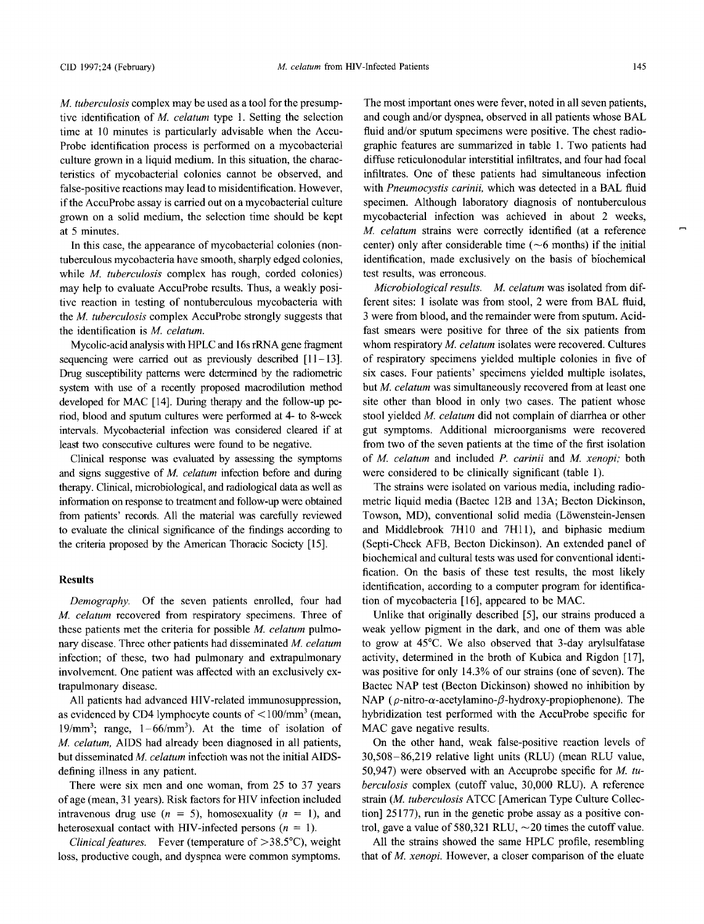*M. tuberculosis* complex may be used as a tool for the presumptive identification of *M celatum* type 1. Setting the selection time at 10 minutes is particularly advisable when the Accu-Probe identification process is performed on a mycobacterial culture grown in a liquid medium. In this situation, the characteristics of mycobacterial colonies cannot be observed, and false-positive reactions may lead to misidentification. However, if the AccuProbe assay is carried out on a mycobacterial culture grown on a solid medium, the selection time should be kept at 5 minutes.

In this case, the appearance of mycobacterial colonies (nontuberculous mycobacteria have smooth, sharply edged colonies, while *M. tuberculosis* complex has rough, corded colonies) may help to evaluate AccuProbe results. Thus, a weakly positive reaction in testing of nontuberculous mycobacteria with the *M tuberculosis* complex AccuProbe strongly suggests that the identification is *M. celatum.* 

Mycolic-acid analysis with HPLC and 16s rRNA gene fragment sequencing were carried out as previously described  $[11-13]$ . Drug susceptibility patterns were determined by the radiometric system with use of a recently proposed macrodilution method developed for MAC [14]. During therapy and the follow-up period, blood and sputum cultures were performed at 4- to 8-week intervals. Mycobacterial infection was considered cleared if at least two consecutive cultures were found to be negative.

Clinical response was evaluated by assessing the symptoms and signs suggestive of *M celatum* infection before and during therapy. Clinical, microbiological, and radiological data as well as information on response to treatment and follow-up were obtained from patients' records. All the material was carefully reviewed to evaluate the clinical significance of the findings according to the criteria proposed by the American Thoracic Society [15].

### **Results**

*Demography.* Of the seven patients enrolled, four had *M celatum* recovered from respiratory specimens. Three of these patients met the criteria for possible *M celatum* pulmonary disease. Three other patients had disseminated *M celatum* infection; of these, two had pulmonary and extrapulmonary involvement. One patient was affected with an exclusively extrapulmonary disease.

All patients had advanced HIV-related immunosuppression, as evidenced by CD4 lymphocyte counts of  $\langle 100/mm^3 \rangle$  (mean, 19/mm<sup>3</sup>; range,  $1-66/mm^3$ ). At the time of isolation of *M celatum,* AIDS had already been diagnosed in all patients, but disseminated *M celatum* infection was not the initial AIDSdefining illness in any patient.

There were six men and one woman, from 25 to 37 years of age (mean, 31 years). Risk factors for HIV infection included intravenous drug use  $(n = 5)$ , homosexuality  $(n = 1)$ , and heterosexual contact with HIV-infected persons *(n = 1).*

*Clinical features.* Fever (temperature of >38.5°C), weight loss, productive cough, and dyspnea were common symptoms.

The most important ones were fever, noted in all seven patients, and cough and/or dyspnea, observed in all patients whose BAL fluid and/or sputum specimens were positive. The chest radiographic features are summarized in table 1. Two patients had diffuse reticulonodular interstitial infiltrates, and four had focal infiltrates. One of these patients had simultaneous infection with *Pneumocystis carinii,* which was detected in a BAL fluid specimen. Although laboratory diagnosis of nontuberculous mycobacterial infection was achieved in about 2 weeks, *M celatum* strains were correctly identified (at a reference center) only after considerable time ( $\sim$ 6 months) if the initial identification, made exclusively on the basis of biochemical test results, was erroneous.

*Microbiological results. M. celatum* was isolated from different sites: 1 isolate was from stool, 2 were from BAL fluid, 3 were from blood, and the remainder were from sputum. Acidfast smears were positive for three of the six patients from whom respiratory *M. celatum* isolates were recovered. Cultures of respiratory specimens yielded multiple colonies in five of six cases. Four patients' specimens yielded multiple isolates, but *M celatum* was simultaneously recovered from at least one site other than blood in only two cases. The patient whose stool yielded *M celatum* did not complain of diarrhea or other gut symptoms. Additional microorganisms were recovered from two of the seven patients at the time of the first isolation of *M celatum* and included *P. carinii* and *M xenopi;* both were considered to be clinically significant (table 1).

The strains were isolated on various media, including radiometric liquid media (Bactec 12B and 13A; Becton Dickinson, Towson, MD), conventional solid media (Löwenstein-Jensen and Middlebrook 7H10 and 7H11), and biphasic medium (Septi-Check AFB, Becton Dickinson). An extended panel of biochemical and cultural tests was used for conventional identification. On the basis of these test results, the most likely identification, according to a computer program for identification of mycobacteria [16], appeared to be MAC.

Unlike that originally described [5], our strains produced a weak yellow pigment in the dark, and one of them was able to grow at 45°C. We also observed that 3-day arylsulfatase activity, determined in the broth of Kubica and Rigdon [17], was positive for only 14.3% of our strains (one of seven). The Bactec NAP test (Becton Dickinson) showed no inhibition by NAP ( $\rho$ -nitro- $\alpha$ -acetylamino- $\beta$ -hydroxy-propiophenone). The hybridization test performed with the AccuProbe specific for MAC gave negative results.

On the other hand, weak false-positive reaction levels of 30,508-86,219 relative light units (RLU) (mean RLU value, 50,947) were observed with an Accuprobe specific for *M tuberculosis* complex (cutoff value, 30,000 RLU). A reference strain *(M tuberculosis* ATCC [American Type Culture Collection] 25177), run in the genetic probe assay as a positive control, gave a value of 580,321 RLU,  $\sim$  20 times the cutoff value.

All the strains showed the same HPLC profile, resembling that of *M. xenopi.* However, a closer comparison of the eluate at Fondazione Centro S. Raffaele del Monte Tabor on January 19, 2011 [cid.oxfordjournals.org](http://cid.oxfordjournals.org/) Downloaded from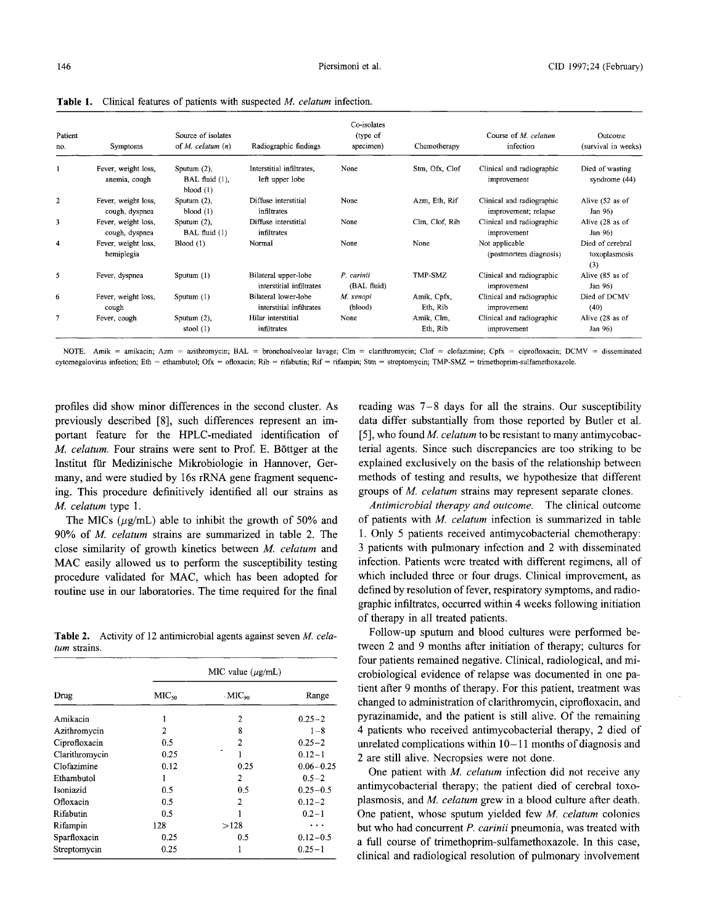**Table 1.** Clinical features of patients with suspected *M. celatum* infection.

| Patient<br>no. | Symptoms                              | Source of isolates<br>of <i>M. celatum</i> $(n)$   | Radiographic findings                            | Co-isolates<br>(type of<br>specimen) | Chemotherapy            | Course of M. celatum<br>infection                 | Outcome<br>(survival in weeks)           |
|----------------|---------------------------------------|----------------------------------------------------|--------------------------------------------------|--------------------------------------|-------------------------|---------------------------------------------------|------------------------------------------|
|                | Fever, weight loss,<br>anemia, cough  | Sputum $(2)$ ,<br>BAL fluid $(1)$ ,<br>blood $(1)$ | Interstitial infiltrates,<br>left upper lobe     | None                                 | Stm, Ofx, Clof          | Clinical and radiographic<br>improvement          | Died of wasting<br>syndrome (44)         |
| $\overline{2}$ | Fever, weight loss,<br>cough, dyspnea | Sputum $(2)$ ,<br>blood $(1)$                      | Diffuse interstitial<br>infiltrates              | None                                 | Azm, Eth, Rif           | Clinical and radiographic<br>improvement; relapse | Alive (52 as of<br>Jan 96)               |
| 3              | Fever, weight loss,<br>cough, dyspnea | Sputum $(2)$ ,<br>BAL fluid (1)                    | Diffuse interstitial<br>infiltrates              | None                                 | Clm. Clof. Rib          | Clinical and radiographic<br>improvement          | Alive (28 as of<br>Jan 96)               |
| 4              | Fever, weight loss,<br>hemiplegia     | Blood(1)                                           | Normal                                           | None                                 | None                    | Not applicable<br>(postmortem diagnosis)          | Died of cerebral<br>toxoplasmosis<br>(3) |
| 5              | Fever, dyspnea                        | Sputum (1)                                         | Bilateral upper-lobe<br>interstitial infiltrates | P. carinii<br>(BAL fluid)            | TMP-SMZ                 | Clinical and radiographic<br>improvement          | Alive (85 as of<br>Jan 96)               |
| 6              | Fever, weight loss,<br>cough          | Sputum $(1)$                                       | Bilateral lower-lobe<br>interstitial infiltrates | M. xenopi<br>(blood)                 | Amik, Cpfx,<br>Eth, Rib | Clinical and radiographic<br>improvement          | Died of DCMV<br>(40)                     |
| 7              | Fever, cough                          | Sputum $(2)$ ,<br>stool $(1)$                      | Hilar interstitial<br>infiltrates                | None                                 | Amik, Clm,<br>Eth, Rib  | Clinical and radiographic<br>improvement          | Alive (28 as of<br>Jan 96)               |

NOTE. Amik = amikacin; Azm = azithromycin; BAL = bronchoalveolar lavage; Clm = clarithromycin; Clof = clofazimine; Cpfx = ciprofloxacin; DCMV = disseminated cytomegalovirus infection; Eth = ethambutol; Ofx = ofloxacin; Rib = rifabutin; Rif = rifampin; Stm = streptomycin; TMP-SMZ = trimethoprim-sulfamethoxazole.

profiles did show minor differences in the second cluster. As previously described [8], such differences represent an important feature for the HPLC-mediated identification of *M. celatum.* Four strains were sent to Prof. E. Böttger at the Institut für Medizinische Mikrobiologie in Hannover, Germany, and were studied by 16s rRNA gene fragment sequencing. This procedure definitively identified all our strains as *M. celatum* type 1.

The MICs  $(\mu g/mL)$  able to inhibit the growth of 50% and 90% of *M. celatum* strains are summarized in table 2. The close similarity of growth kinetics between *M celatum* and MAC easily allowed us to perform the susceptibility testing procedure validated for MAC, which has been adopted for routine use in our laboratories. The time required for the final

**Table 2.** Activity of 12 antimicrobial agents against seven *M celatum* strains.

|                |                   | MIC value $(\mu$ g/mL)    |               |
|----------------|-------------------|---------------------------|---------------|
| Drug           | MIC <sub>50</sub> | $\cdot$ MIC <sub>90</sub> | Range         |
| Amikacin       |                   | 2                         | $0.25 - 2$    |
| Azithromycin   | 2                 | 8                         | $1 - 8$       |
| Ciprofloxacin  | 0.5               | $\overline{c}$            | $0.25 - 2$    |
| Clarithromycin | 0.25              |                           | $0.12 - 1$    |
| Clofazimine    | 0.12              | 0.25                      | $0.06 - 0.25$ |
| Ethambutol     |                   | $\mathfrak{p}$            | $0.5 - 2$     |
| Isoniazid      | 0.5               | 0.5                       | $0.25 - 0.5$  |
| Ofloxacin      | 0.5               | 2                         | $0.12 - 2$    |
| Rifabutin      | 0.5               |                           | $0.2 - 1$     |
| Rifampin       | 128               | >128                      | .             |
| Sparfloxacin   | 0.25              | 0.5                       | $0.12 - 0.5$  |
| Streptomycin   | 0.25              | ł                         | $0.25 - 1$    |

reading was 7-8 days for all the strains. Our susceptibility data differ substantially from those reported by Butler et al. [5], who found *M. celatum* to be resistant to many antimycobacterial agents. Since such discrepancies are too striking to be explained exclusively on the basis of the relationship between methods of testing and results, we hypothesize that different groups of *M celatum* strains may represent separate clones.

*Antimicrobial therapy and outcome.* The clinical outcome of patients with *M celatum* infection is summarized in table 1. Only 5 patients received antimycobacterial chemotherapy: 3 patients with pulmonary infection and 2 with disseminated infection. Patients were treated with different regimens, all of which included three or four drugs. Clinical improvement, as defined by resolution of fever, respiratory symptoms, and radiographic infiltrates, occurred within 4 weeks following initiation of therapy in all treated patients.

Follow-up sputum and blood cultures were performed between 2 and 9 months after initiation of therapy; cultures for four patients remained negative. Clinical, radiological, and microbiological evidence of relapse was documented in one patient after 9 months of therapy. For this patient, treatment was changed to administration of clarithromycin, ciprofloxacin, and pyrazinamide, and the patient is still alive. Of the remaining 4 patients who received antimycobacterial therapy, 2 died of unrelated complications within  $10-11$  months of diagnosis and 2 are still alive. Necropsies were not done.

One patient with *M. celatum* infection did not receive any antimycobacterial therapy; the patient died of cerebral toxoplasmosis, and *M celatum* grew in a blood culture after death. One patient, whose sputum yielded few *M. celatum* colonies but who had concurrent *P. carinii* pneumonia, was treated with a full course of trimethoprim-sulfamethoxazole. In this case, clinical and radiological resolution of pulmonary involvement